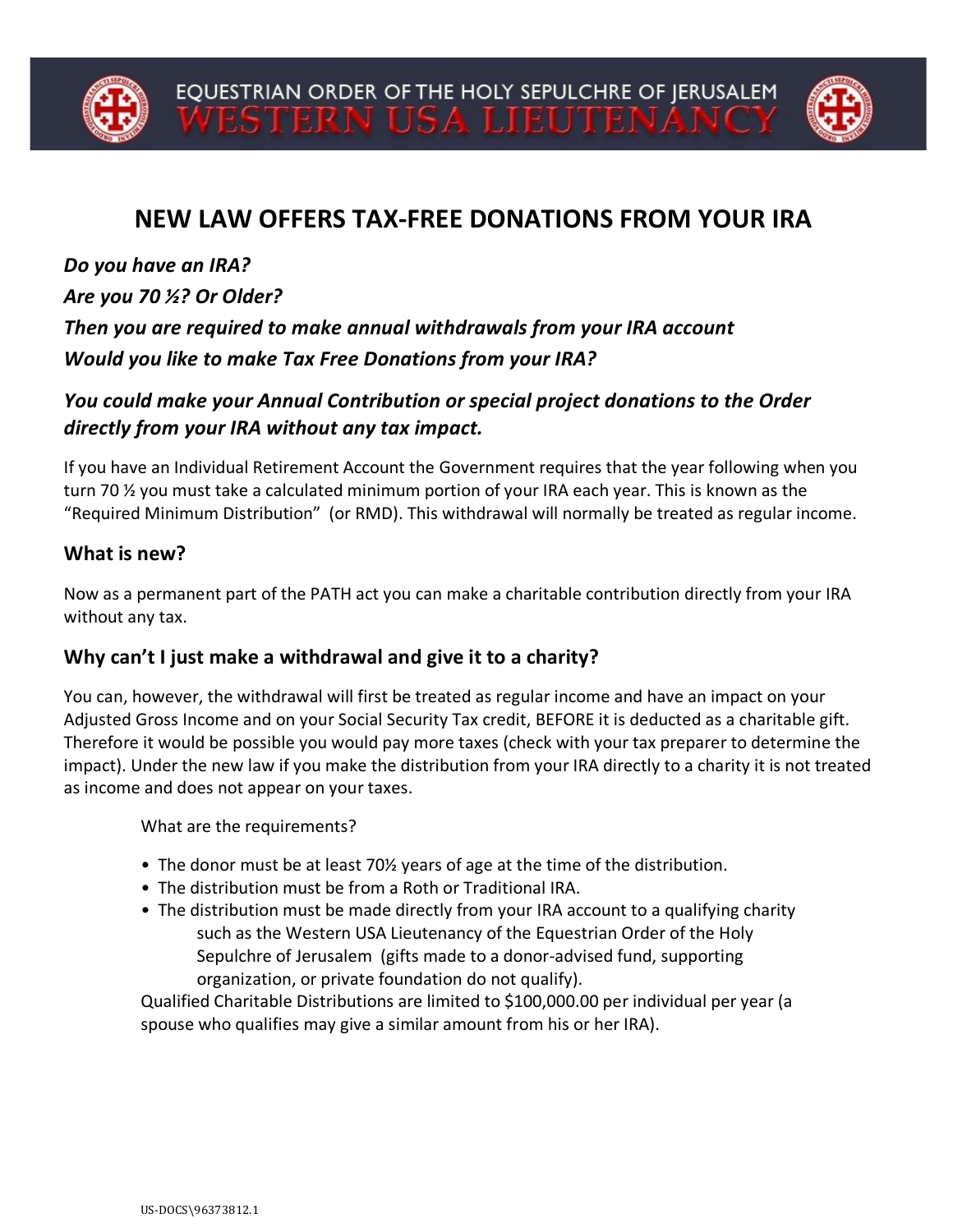

## **NEW LAW OFFERS TAX-FREE DONATIONS FROM YOUR IRA**

*Do you have an IRA?*

*Are you 70 ½? Or Older?*

*Then you are required to make annual withdrawals from your IRA account Would you like to make Tax Free Donations from your IRA?*

## *You could make your Annual Contribution or special project donations to the Order directly from your IRA without any tax impact.*

If you have an Individual Retirement Account the Government requires that the year following when you turn 70 ½ you must take a calculated minimum portion of your IRA each year. This is known as the "Required Minimum Distribution" (or RMD). This withdrawal will normally be treated as regular income.

## **What is new?**

Now as a permanent part of the PATH act you can make a charitable contribution directly from your IRA without any tax.

## **Why can't I just make a withdrawal and give it to a charity?**

You can, however, the withdrawal will first be treated as regular income and have an impact on your Adjusted Gross Income and on your Social Security Tax credit, BEFORE it is deducted as a charitable gift. Therefore it would be possible you would pay more taxes (check with your tax preparer to determine the impact). Under the new law if you make the distribution from your IRA directly to a charity it is not treated as income and does not appear on your taxes.

What are the requirements?

- The donor must be at least 70½ years of age at the time of the distribution.
- The distribution must be from a Roth or Traditional IRA.
- The distribution must be made directly from your IRA account to a qualifying charity such as the Western USA Lieutenancy of the Equestrian Order of the Holy Sepulchre of Jerusalem (gifts made to a donor-advised fund, supporting organization, or private foundation do not qualify).

Qualified Charitable Distributions are limited to \$100,000.00 per individual per year (a spouse who qualifies may give a similar amount from his or her IRA).